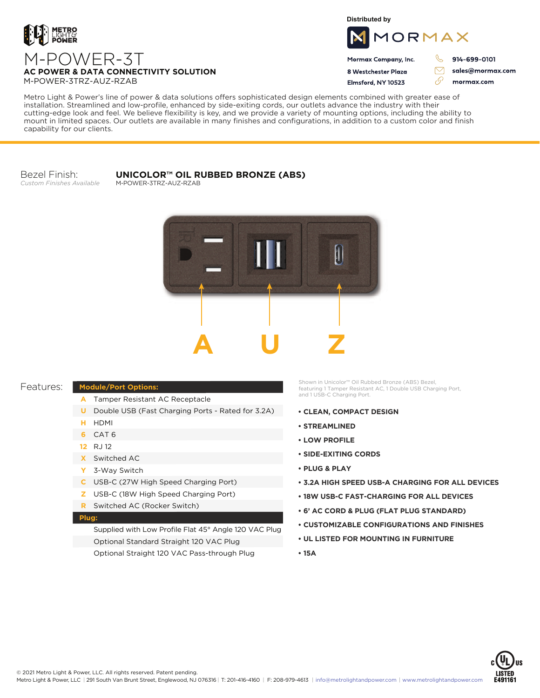

M-POWER-3TRZ-AUZ-RZAB

**Distributed by**



Mormax Company, Inc. 8 Westchester Plaza

914-699-0101

sales@mormax.com

Flmsford, NY 10523 76 mormax.com

Metro Light & Power's line of power & data solutions offers sophisticated design elements combined with greater ease of installation. Streamlined and low-profile, enhanced by side-exiting cords, our outlets advance the industry with their cutting-edge look and feel. We believe flexibility is key, and we provide a variety of mounting options, including the ability to mount in limited spaces. Our outlets are available in many finishes and configurations, in addition to a custom color and finish capability for our clients.

### Bezel Finish: *Custom Finishes Available*

#### **UNICOLOR™ OIL RUBBED BRONZE (ABS)** M-POWER-3TRZ-AUZ-RZAB



# Features:

## **Module/Port Options:**

- Tamper Resistant AC Receptacle **A**
- **U** Double USB (Fast Charging Ports Rated for 3.2A)
- HDMI **H**
- CAT 6 **6**
- RJ 12 **12**
- Switched AC **X**
- 3-Way Switch **Y**
- USB-C (27W High Speed Charging Port) **C**
- USB-C (18W High Speed Charging Port) **Z**
- Switched AC (Rocker Switch) **R**

### **Plug:**

Supplied with Low Profile Flat 45° Angle 120 VAC Plug Optional Standard Straight 120 VAC Plug Optional Straight 120 VAC Pass-through Plug

Shown in Unicolor™ Oil Rubbed Bronze (ABS) Bezel, featuring 1 Tamper Resistant AC, 1 Double USB Charging Port, and 1 USB-C Charging Port.

- **CLEAN, COMPACT DESIGN**
- **STREAMLINED**
- **LOW PROFILE**
- **SIDE-EXITING CORDS**
- **PLUG & PLAY**
- **3.2A HIGH SPEED USB-A CHARGING FOR ALL DEVICES**
- **18W USB-C FAST-CHARGING FOR ALL DEVICES**
- **6' AC CORD & PLUG (FLAT PLUG STANDARD)**
- **CUSTOMIZABLE CONFIGURATIONS AND FINISHES**
- **UL LISTED FOR MOUNTING IN FURNITURE**
- **15A**